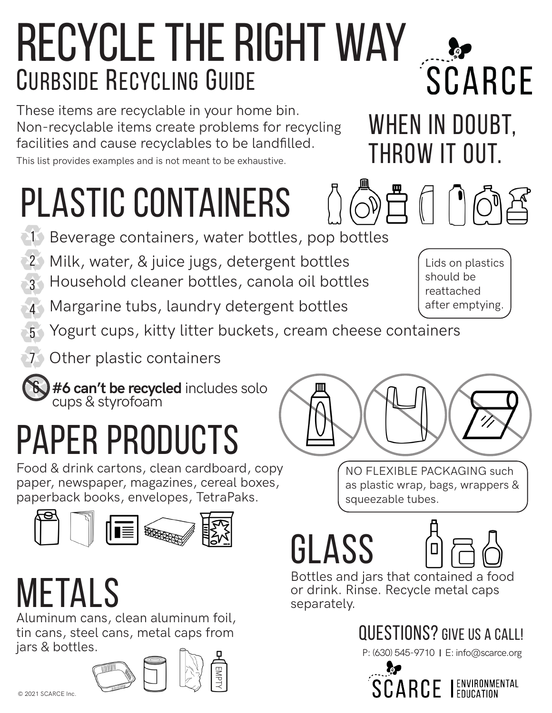### Recycle the Right Way CURBSIDE RECYCLING GUIDE

These items are recyclable in your home bin. Non-recyclable items create problems for recycling facilities and cause recyclables to be landfilled.

This list provides examples and is not meant to be exhaustive.

# plastic containers

- **1 Beverage containers, water bottles, pop bottles**
- 2 Milk, water, & juice jugs, detergent bottles
- 3 Household cleaner bottles, canola oil bottles
- 4 Margarine tubs, laundry detergent bottles
- 5 Yogurt cups, kitty litter buckets, cream cheese containers
- 7 Other plastic containers



### paper products

Food & drink cartons, clean cardboard, copy paper, newspaper, magazines, cereal boxes, paperback books, envelopes, TetraPaks.



## metals

Aluminum cans, clean aluminum foil, tin cans, steel cans, metal caps from jars & bottles.



NO FLEXIBLE PACKAGING such

as plastic wrap, bags, wrappers & squeezable tubes.

glass



Bottles and jars that contained a food or drink. Rinse. Recycle metal caps separately.

#### questions? Give us a call!

P: (630) 545-9710 | E: info@scarce.org



Lids on plastics should be reattached after emptying.



throw it out.